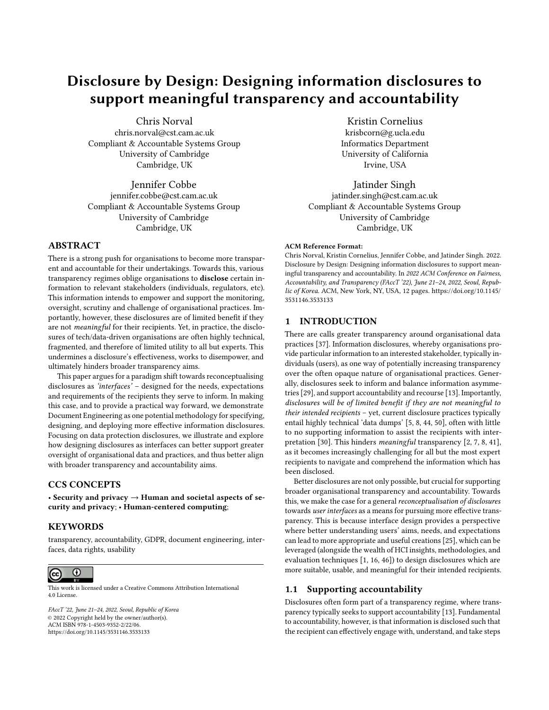# Disclosure by Design: Designing information disclosures to support meaningful transparency and accountability

[Chris Norval](https://orcid.org/1234-5678-9012)

chris.norval@cst.cam.ac.uk Compliant & Accountable Systems Group University of Cambridge Cambridge, UK

Jennifer Cobbe jennifer.cobbe@cst.cam.ac.uk Compliant & Accountable Systems Group University of Cambridge Cambridge, UK

## ABSTRACT

There is a strong push for organisations to become more transparent and accountable for their undertakings. Towards this, various transparency regimes oblige organisations to disclose certain information to relevant stakeholders (individuals, regulators, etc). This information intends to empower and support the monitoring, oversight, scrutiny and challenge of organisational practices. Importantly, however, these disclosures are of limited benefit if they are not meaningful for their recipients. Yet, in practice, the disclosures of tech/data-driven organisations are often highly technical, fragmented, and therefore of limited utility to all but experts. This undermines a disclosure's effectiveness, works to disempower, and ultimately hinders broader transparency aims.

This paper argues for a paradigm shift towards reconceptualising disclosures as 'interfaces' – designed for the needs, expectations and requirements of the recipients they serve to inform. In making this case, and to provide a practical way forward, we demonstrate Document Engineering as one potential methodology for specifying, designing, and deploying more effective information disclosures. Focusing on data protection disclosures, we illustrate and explore how designing disclosures as interfaces can better support greater oversight of organisational data and practices, and thus better align with broader transparency and accountability aims.

## CCS CONCEPTS

• Security and privacy  $\rightarrow$  Human and societal aspects of security and privacy; • Human-centered computing;

#### **KEYWORDS**

transparency, accountability, GDPR, document engineering, interfaces, data rights, usability



This work is licensed under a [Creative Commons Attribution International](https://creativecommons.org/licenses/by/4.0/) [4.0 License.](https://creativecommons.org/licenses/by/4.0/)

FAccT '22, June 21–24, 2022, Seoul, Republic of Korea © 2022 Copyright held by the owner/author(s). ACM ISBN 978-1-4503-9352-2/22/06. <https://doi.org/10.1145/3531146.3533133>

Kristin Cornelius krisbcorn@g.ucla.edu Informatics Department University of California Irvine, USA

Jatinder Singh jatinder.singh@cst.cam.ac.uk Compliant & Accountable Systems Group University of Cambridge Cambridge, UK

#### ACM Reference Format:

Chris Norval, Kristin Cornelius, Jennifer Cobbe, and Jatinder Singh. 2022. Disclosure by Design: Designing information disclosures to support meaningful transparency and accountability. In 2022 ACM Conference on Fairness, Accountability, and Transparency (FAccT '22), June 21–24, 2022, Seoul, Republic of Korea. ACM, New York, NY, USA, [12](#page-11-0) pages. [https://doi.org/10.1145/](https://doi.org/10.1145/3531146.3533133) [3531146.3533133](https://doi.org/10.1145/3531146.3533133)

## 1 INTRODUCTION

There are calls greater transparency around organisational data practices [\[37\]](#page-11-1). Information disclosures, whereby organisations provide particular information to an interested stakeholder, typically individuals (users), as one way of potentially increasing transparency over the often opaque nature of organisational practices. Generally, disclosures seek to inform and balance information asymmetries [\[29\]](#page-11-2), and support accountability and recourse [\[13\]](#page-10-0). Importantly, disclosures will be of limited benefit if they are not meaningful to their intended recipients – yet, current disclosure practices typically entail highly technical 'data dumps' [\[5,](#page-10-1) [8,](#page-10-2) [44,](#page-11-3) [50\]](#page-11-4), often with little to no supporting information to assist the recipients with interpretation [\[30\]](#page-11-5). This hinders meaningful transparency [\[2,](#page-10-3) [7,](#page-10-4) [8,](#page-10-2) [41\]](#page-11-6), as it becomes increasingly challenging for all but the most expert recipients to navigate and comprehend the information which has been disclosed.

Better disclosures are not only possible, but crucial for supporting broader organisational transparency and accountability. Towards this, we make the case for a general reconceptualisation of disclosures towards user interfaces as a means for pursuing more effective transparency. This is because interface design provides a perspective where better understanding users' aims, needs, and expectations can lead to more appropriate and useful creations [\[25\]](#page-10-5), which can be leveraged (alongside the wealth of HCI insights, methodologies, and evaluation techniques [\[1,](#page-10-6) [16,](#page-10-7) [46\]](#page-11-7)) to design disclosures which are more suitable, usable, and meaningful for their intended recipients.

#### <span id="page-0-0"></span>1.1 Supporting accountability

Disclosures often form part of a transparency regime, where transparency typically seeks to support accountability [\[13\]](#page-10-0). Fundamental to accountability, however, is that information is disclosed such that the recipient can effectively engage with, understand, and take steps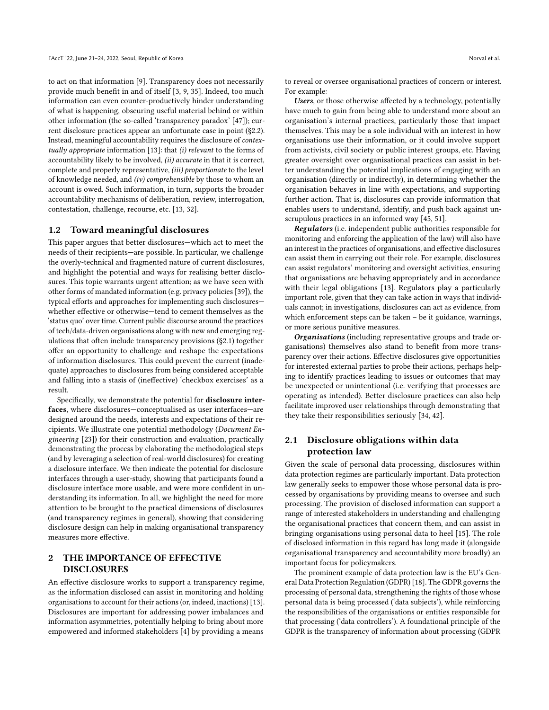to act on that information [\[9\]](#page-10-8). Transparency does not necessarily provide much benefit in and of itself [\[3,](#page-10-9) [9,](#page-10-8) [35\]](#page-11-8). Indeed, too much information can even counter-productively hinder understanding of what is happening, obscuring useful material behind or within other information (the so-called 'transparency paradox' [\[47\]](#page-11-9)); current disclosure practices appear an unfortunate case in point ([§2.2\)](#page-2-0). Instead, meaningful accountability requires the disclosure of contextually appropriate information [\[13\]](#page-10-0): that (i) relevant to the forms of accountability likely to be involved, (ii) accurate in that it is correct, complete and properly representative, (iii) proportionate to the level of knowledge needed, and (iv) comprehensible by those to whom an account is owed. Such information, in turn, supports the broader accountability mechanisms of deliberation, review, interrogation, contestation, challenge, recourse, etc. [\[13,](#page-10-0) [32\]](#page-11-10).

#### 1.2 Toward meaningful disclosures

This paper argues that better disclosures—which act to meet the needs of their recipients—are possible. In particular, we challenge the overly-technical and fragmented nature of current disclosures, and highlight the potential and ways for realising better disclosures. This topic warrants urgent attention; as we have seen with other forms of mandated information (e.g. privacy policies [\[39\]](#page-11-11)), the typical efforts and approaches for implementing such disclosures whether effective or otherwise—tend to cement themselves as the 'status quo' over time. Current public discourse around the practices of tech/data-driven organisations along with new and emerging regulations that often include transparency provisions ([§2.1\)](#page-1-0) together offer an opportunity to challenge and reshape the expectations of information disclosures. This could prevent the current (inadequate) approaches to disclosures from being considered acceptable and falling into a stasis of (ineffective) 'checkbox exercises' as a result.

Specifically, we demonstrate the potential for disclosure interfaces, where disclosures—conceptualised as user interfaces—are designed around the needs, interests and expectations of their recipients. We illustrate one potential methodology (Document Engineering [\[23\]](#page-10-10)) for their construction and evaluation, practically demonstrating the process by elaborating the methodological steps (and by leveraging a selection of real-world disclosures) for creating a disclosure interface. We then indicate the potential for disclosure interfaces through a user-study, showing that participants found a disclosure interface more usable, and were more confident in understanding its information. In all, we highlight the need for more attention to be brought to the practical dimensions of disclosures (and transparency regimes in general), showing that considering disclosure design can help in making organisational transparency measures more effective.

# <span id="page-1-1"></span>2 THE IMPORTANCE OF EFFECTIVE DISCLOSURES

An effective disclosure works to support a transparency regime, as the information disclosed can assist in monitoring and holding organisations to account for their actions (or, indeed, inactions) [\[13\]](#page-10-0). Disclosures are important for addressing power imbalances and information asymmetries, potentially helping to bring about more empowered and informed stakeholders [\[4\]](#page-10-11) by providing a means

to reveal or oversee organisational practices of concern or interest. For example:

Users, or those otherwise affected by a technology, potentially have much to gain from being able to understand more about an organisation's internal practices, particularly those that impact themselves. This may be a sole individual with an interest in how organisations use their information, or it could involve support from activists, civil society or public interest groups, etc. Having greater oversight over organisational practices can assist in better understanding the potential implications of engaging with an organisation (directly or indirectly), in determining whether the organisation behaves in line with expectations, and supporting further action. That is, disclosures can provide information that enables users to understand, identify, and push back against unscrupulous practices in an informed way [\[45,](#page-11-12) [51\]](#page-11-13).

Regulators (i.e. independent public authorities responsible for monitoring and enforcing the application of the law) will also have an interest in the practices of organisations, and effective disclosures can assist them in carrying out their role. For example, disclosures can assist regulators' monitoring and oversight activities, ensuring that organisations are behaving appropriately and in accordance with their legal obligations [\[13\]](#page-10-0). Regulators play a particularly important role, given that they can take action in ways that individuals cannot; in investigations, disclosures can act as evidence, from which enforcement steps can be taken – be it guidance, warnings, or more serious punitive measures.

Organisations (including representative groups and trade organisations) themselves also stand to benefit from more transparency over their actions. Effective disclosures give opportunities for interested external parties to probe their actions, perhaps helping to identify practices leading to issues or outcomes that may be unexpected or unintentional (i.e. verifying that processes are operating as intended). Better disclosure practices can also help facilitate improved user relationships through demonstrating that they take their responsibilities seriously [\[34,](#page-11-14) [42\]](#page-11-15).

# <span id="page-1-0"></span>2.1 Disclosure obligations within data protection law

Given the scale of personal data processing, disclosures within data protection regimes are particularly important. Data protection law generally seeks to empower those whose personal data is processed by organisations by providing means to oversee and such processing. The provision of disclosed information can support a range of interested stakeholders in understanding and challenging the organisational practices that concern them, and can assist in bringing organisations using personal data to heel [\[15\]](#page-10-12). The role of disclosed information in this regard has long made it (alongside organisational transparency and accountability more broadly) an important focus for policymakers.

The prominent example of data protection law is the EU's General Data Protection Regulation (GDPR) [\[18\]](#page-10-13). The GDPR governs the processing of personal data, strengthening the rights of those whose personal data is being processed ('data subjects'), while reinforcing the responsibilities of the organisations or entities responsible for that processing ('data controllers'). A foundational principle of the GDPR is the transparency of information about processing (GDPR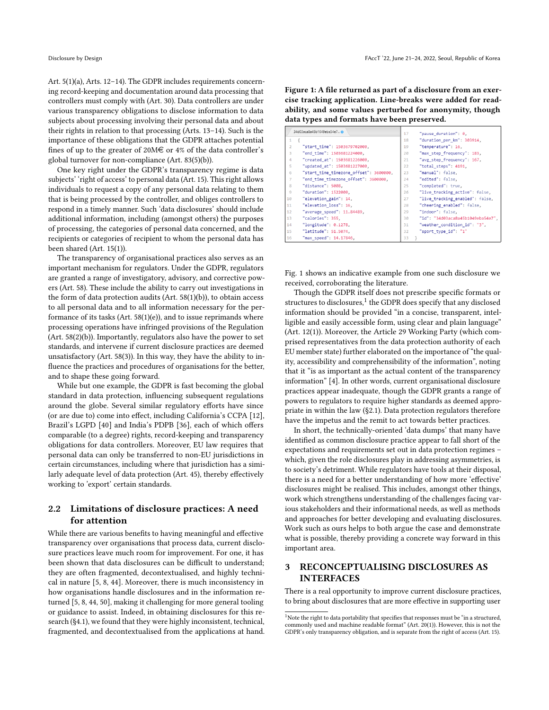Art. 5(1)(a), Arts. 12–14). The GDPR includes requirements concerning record-keeping and documentation around data processing that controllers must comply with (Art. 30). Data controllers are under various transparency obligations to disclose information to data subjects about processing involving their personal data and about their rights in relation to that processing (Arts. 13–14). Such is the importance of these obligations that the GDPR attaches potential fines of up to the greater of 20M $\in$  or 4% of the data controller's global turnover for non-compliance (Art. 83(5)(b)).

One key right under the GDPR's transparency regime is data subjects' 'right of access' to personal data (Art. 15). This right allows individuals to request a copy of any personal data relating to them that is being processed by the controller, and obliges controllers to respond in a timely manner. Such 'data disclosures' should include additional information, including (amongst others) the purposes of processing, the categories of personal data concerned, and the recipients or categories of recipient to whom the personal data has been shared (Art. 15(1)).

The transparency of organisational practices also serves as an important mechanism for regulators. Under the GDPR, regulators are granted a range of investigatory, advisory, and corrective powers (Art. 58). These include the ability to carry out investigations in the form of data protection audits (Art. 58(1)(b)), to obtain access to all personal data and to all information necessary for the performance of its tasks (Art. 58(1)(e)), and to issue reprimands where processing operations have infringed provisions of the Regulation (Art. 58(2)(b)). Importantly, regulators also have the power to set standards, and intervene if current disclosure practices are deemed unsatisfactory (Art. 58(3)). In this way, they have the ability to influence the practices and procedures of organisations for the better, and to shape these going forward.

While but one example, the GDPR is fast becoming the global standard in data protection, influencing subsequent regulations around the globe. Several similar regulatory efforts have since (or are due to) come into effect, including California's CCPA [\[12\]](#page-10-14), Brazil's LGPD [\[40\]](#page-11-16) and India's PDPB [\[36\]](#page-11-17), each of which offers comparable (to a degree) rights, record-keeping and transparency obligations for data controllers. Moreover, EU law requires that personal data can only be transferred to non-EU jurisdictions in certain circumstances, including where that jurisdiction has a similarly adequate level of data protection (Art. 45), thereby effectively working to 'export' certain standards.

# <span id="page-2-0"></span>2.2 Limitations of disclosure practices: A need for attention

While there are various benefits to having meaningful and effective transparency over organisations that process data, current disclosure practices leave much room for improvement. For one, it has been shown that data disclosures can be difficult to understand; they are often fragmented, decontextualised, and highly technical in nature [\[5,](#page-10-1) [8,](#page-10-2) [44\]](#page-11-3). Moreover, there is much inconsistency in how organisations handle disclosures and in the information returned [\[5,](#page-10-1) [8,](#page-10-2) [44,](#page-11-3) [50\]](#page-11-4), making it challenging for more general tooling or guidance to assist. Indeed, in obtaining disclosures for this research ([§4.1\)](#page-3-0), we found that they were highly inconsistent, technical, fragmented, and decontextualised from the applications at hand.

<span id="page-2-1"></span>Figure 1: A file returned as part of a disclosure from an exercise tracking application. Line-breaks were added for readability, and some values perturbed for anonymity, though data types and formats have been preserved.

|                | 34d03aca8a45b1049eba54e7 o             | 17 | "pause duration": 0,              |
|----------------|----------------------------------------|----|-----------------------------------|
| $\mathbf{1}$   |                                        | 18 | "duration per km": 303914,        |
| $\overline{2}$ | "start time": 1503679702000.           | 19 | "temperature": 16,                |
| 3              | "end time": 1503681224000,             | 20 | "max step frequency": 183,        |
| $\Delta$       | "created at": 1503681226000,           | 21 | "avg step frequency": 167,        |
| 5              | "updated at": 1503681227000,           | 22 | "total steps": 4191,              |
| 6              | "start time timezone offset": 3600000, | 23 | "manual": false.                  |
| $\overline{7}$ | "end time timezone offset": 3600000,   | 24 | "edited": false,                  |
| 8              | "distance": 5008.                      | 25 | "completed": true.                |
| $\mathbf{Q}$   | "duration": 1522000.                   | 26 | "live tracking active": false,    |
| 10             | "elevation gain": 14,                  | 27 | "live tracking enabled": false,   |
| 11             | "elevation loss": 16,                  | 28 | "cheering enabled": false,        |
| 12             | "average speed": 11.84489,             | 29 | "indoor": false,                  |
| 13             | "calories": 355.                       | 30 | "id": "34d03aca8a45b1049eba54e7", |
| 14             | "longitude": 0.1278,                   | 31 | "weather_condition_id": "3",      |
| 15             | "latitude": 51.5074,                   | 32 | "sport type id": "1"              |
| 16             | "max speed": 14.17846,                 | 33 |                                   |

Fig. [1](#page-2-1) shows an indicative example from one such disclosure we received, corroborating the literature.

Though the GDPR itself does not prescribe specific formats or structures to disclosures,<sup>[1](#page-2-2)</sup> the GDPR does specify that any disclosed information should be provided "in a concise, transparent, intelligible and easily accessible form, using clear and plain language" (Art. 12(1)). Moreover, the Article 29 Working Party (which comprised representatives from the data protection authority of each EU member state) further elaborated on the importance of "the quality, accessibility and comprehensibility of the information", noting that it "is as important as the actual content of the transparency information" [\[4\]](#page-10-11). In other words, current organisational disclosure practices appear inadequate, though the GDPR grants a range of powers to regulators to require higher standards as deemed appropriate in within the law ([§2.1\)](#page-1-0). Data protection regulators therefore have the impetus and the remit to act towards better practices.

In short, the technically-oriented 'data dumps' that many have identified as common disclosure practice appear to fall short of the expectations and requirements set out in data protection regimes – which, given the role disclosures play in addressing asymmetries, is to society's detriment. While regulators have tools at their disposal, there is a need for a better understanding of how more 'effective' disclosures might be realised. This includes, amongst other things, work which strengthens understanding of the challenges facing various stakeholders and their informational needs, as well as methods and approaches for better developing and evaluating disclosures. Work such as ours helps to both argue the case and demonstrate what is possible, thereby providing a concrete way forward in this important area.

# 3 RECONCEPTUALISING DISCLOSURES AS INTERFACES

There is a real opportunity to improve current disclosure practices, to bring about disclosures that are more effective in supporting user

<span id="page-2-2"></span> $1$ Note the right to data portability that specifies that responses must be "in a structured, commonly used and machine readable format" (Art. 20(1)). However, this is not the GDPR's only transparency obligation, and is separate from the right of access (Art. 15).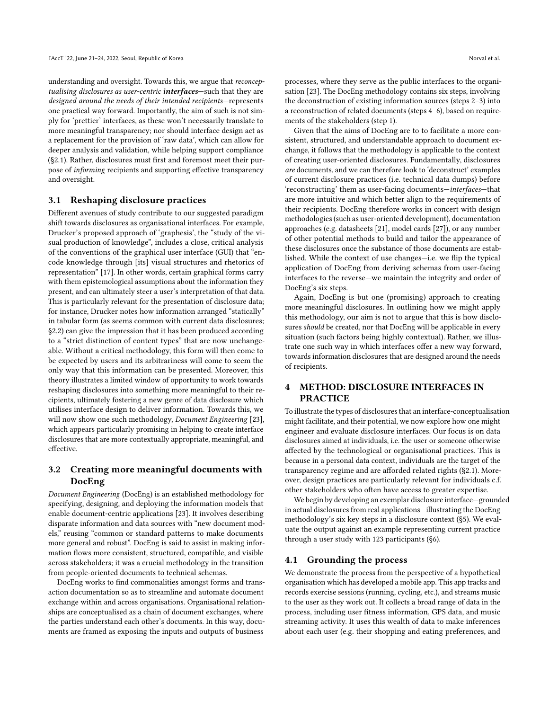understanding and oversight. Towards this, we argue that reconceptualising disclosures as user-centric *interfaces*-such that they are designed around the needs of their intended recipients—represents one practical way forward. Importantly, the aim of such is not simply for 'prettier' interfaces, as these won't necessarily translate to more meaningful transparency; nor should interface design act as a replacement for the provision of 'raw data', which can allow for deeper analysis and validation, while helping support compliance ([§2.1\)](#page-1-0). Rather, disclosures must first and foremost meet their purpose of informing recipients and supporting effective transparency and oversight.

#### 3.1 Reshaping disclosure practices

Different avenues of study contribute to our suggested paradigm shift towards disclosures as organisational interfaces. For example, Drucker's proposed approach of 'graphesis', the "study of the visual production of knowledge", includes a close, critical analysis of the conventions of the graphical user interface (GUI) that "encode knowledge through [its] visual structures and rhetorics of representation" [\[17\]](#page-10-15). In other words, certain graphical forms carry with them epistemological assumptions about the information they present, and can ultimately steer a user's interpretation of that data. This is particularly relevant for the presentation of disclosure data; for instance, Drucker notes how information arranged "statically" in tabular form (as seems common with current data disclosures; [§2.2\)](#page-2-0) can give the impression that it has been produced according to a "strict distinction of content types" that are now unchangeable. Without a critical methodology, this form will then come to be expected by users and its arbitrariness will come to seem the only way that this information can be presented. Moreover, this theory illustrates a limited window of opportunity to work towards reshaping disclosures into something more meaningful to their recipients, ultimately fostering a new genre of data disclosure which utilises interface design to deliver information. Towards this, we will now show one such methodology, Document Engineering [\[23\]](#page-10-10), which appears particularly promising in helping to create interface disclosures that are more contextually appropriate, meaningful, and effective.

# 3.2 Creating more meaningful documents with DocEng

Document Engineering (DocEng) is an established methodology for specifying, designing, and deploying the information models that enable document-centric applications [\[23\]](#page-10-10). It involves describing disparate information and data sources with "new document models," reusing "common or standard patterns to make documents more general and robust". DocEng is said to assist in making information flows more consistent, structured, compatible, and visible across stakeholders; it was a crucial methodology in the transition from people-oriented documents to technical schemas.

DocEng works to find commonalities amongst forms and transaction documentation so as to streamline and automate document exchange within and across organisations. Organisational relationships are conceptualised as a chain of document exchanges, where the parties understand each other's documents. In this way, documents are framed as exposing the inputs and outputs of business

processes, where they serve as the public interfaces to the organisation [\[23\]](#page-10-10). The DocEng methodology contains six steps, involving the deconstruction of existing information sources (steps 2–3) into a reconstruction of related documents (steps 4–6), based on requirements of the stakeholders (step 1).

Given that the aims of DocEng are to to facilitate a more consistent, structured, and understandable approach to document exchange, it follows that the methodology is applicable to the context of creating user-oriented disclosures. Fundamentally, disclosures are documents, and we can therefore look to 'deconstruct' examples of current disclosure practices (i.e. technical data dumps) before 'reconstructing' them as user-facing documents—interfaces—that are more intuitive and which better align to the requirements of their recipients. DocEng therefore works in concert with design methodologies (such as user-oriented development), documentation approaches (e.g. datasheets [\[21\]](#page-10-16), model cards [\[27\]](#page-10-17)), or any number of other potential methods to build and tailor the appearance of these disclosures once the substance of those documents are established. While the context of use changes—i.e. we flip the typical application of DocEng from deriving schemas from user-facing interfaces to the reverse—we maintain the integrity and order of DocEng's six steps.

Again, DocEng is but one (promising) approach to creating more meaningful disclosures. In outlining how we might apply this methodology, our aim is not to argue that this is how disclosures should be created, nor that DocEng will be applicable in every situation (such factors being highly contextual). Rather, we illustrate one such way in which interfaces offer a new way forward, towards information disclosures that are designed around the needs of recipients.

## 4 METHOD: DISCLOSURE INTERFACES IN PRACTICE

To illustrate the types of disclosures that an interface-conceptualisation might facilitate, and their potential, we now explore how one might engineer and evaluate disclosure interfaces. Our focus is on data disclosures aimed at individuals, i.e. the user or someone otherwise affected by the technological or organisational practices. This is because in a personal data context, individuals are the target of the transparency regime and are afforded related rights ([§2.1\)](#page-1-0). Moreover, design practices are particularly relevant for individuals c.f. other stakeholders who often have access to greater expertise.

We begin by developing an exemplar disclosure interface—grounded in actual disclosures from real applications—illustrating the DocEng methodology's six key steps in a disclosure context ([§5\)](#page-4-0). We evaluate the output against an example representing current practice through a user study with 123 participants ([§6\)](#page-5-0).

#### <span id="page-3-0"></span>4.1 Grounding the process

We demonstrate the process from the perspective of a hypothetical organisation which has developed a mobile app. This app tracks and records exercise sessions (running, cycling, etc.), and streams music to the user as they work out. It collects a broad range of data in the process, including user fitness information, GPS data, and music streaming activity. It uses this wealth of data to make inferences about each user (e.g. their shopping and eating preferences, and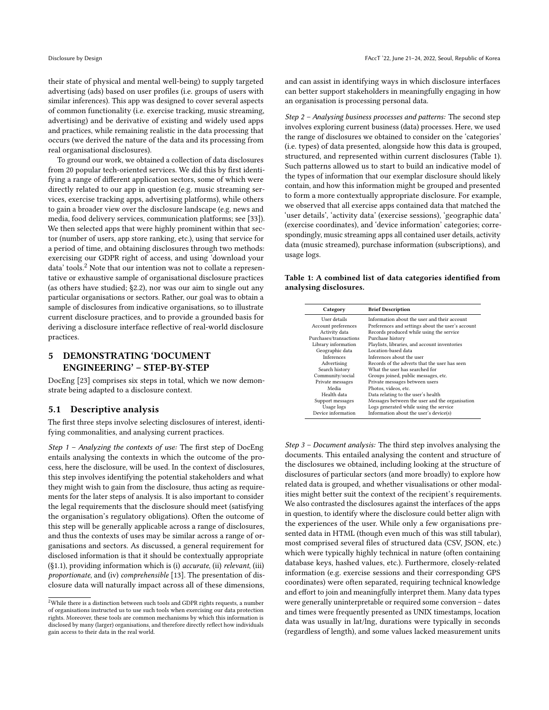their state of physical and mental well-being) to supply targeted advertising (ads) based on user profiles (i.e. groups of users with similar inferences). This app was designed to cover several aspects of common functionality (i.e. exercise tracking, music streaming, advertising) and be derivative of existing and widely used apps and practices, while remaining realistic in the data processing that occurs (we derived the nature of the data and its processing from real organisational disclosures).

To ground our work, we obtained a collection of data disclosures from 20 popular tech-oriented services. We did this by first identifying a range of different application sectors, some of which were directly related to our app in question (e.g. music streaming services, exercise tracking apps, advertising platforms), while others to gain a broader view over the disclosure landscape (e.g. news and media, food delivery services, communication platforms; see [\[33\]](#page-11-18)). We then selected apps that were highly prominent within that sector (number of users, app store ranking, etc.), using that service for a period of time, and obtaining disclosures through two methods: exercising our GDPR right of access, and using 'download your data' tools.<sup>[2](#page-4-1)</sup> Note that our intention was not to collate a representative or exhaustive sample of organisational disclosure practices (as others have studied; [§2.2\)](#page-2-0), nor was our aim to single out any particular organisations or sectors. Rather, our goal was to obtain a sample of disclosures from indicative organisations, so to illustrate current disclosure practices, and to provide a grounded basis for deriving a disclosure interface reflective of real-world disclosure practices.

# <span id="page-4-0"></span>5 DEMONSTRATING 'DOCUMENT ENGINEERING' – STEP-BY-STEP

DocEng [\[23\]](#page-10-10) comprises six steps in total, which we now demonstrate being adapted to a disclosure context.

#### 5.1 Descriptive analysis

The first three steps involve selecting disclosures of interest, identifying commonalities, and analysing current practices.

Step 1 – Analyzing the contexts of use: The first step of DocEng entails analysing the contexts in which the outcome of the process, here the disclosure, will be used. In the context of disclosures, this step involves identifying the potential stakeholders and what they might wish to gain from the disclosure, thus acting as requirements for the later steps of analysis. It is also important to consider the legal requirements that the disclosure should meet (satisfying the organisation's regulatory obligations). Often the outcome of this step will be generally applicable across a range of disclosures, and thus the contexts of uses may be similar across a range of organisations and sectors. As discussed, a general requirement for disclosed information is that it should be contextually appropriate ([§1.1\)](#page-0-0), providing information which is (i) accurate, (ii) relevant, (iii) proportionate, and (iv) comprehensible [\[13\]](#page-10-0). The presentation of disclosure data will naturally impact across all of these dimensions, and can assist in identifying ways in which disclosure interfaces can better support stakeholders in meaningfully engaging in how an organisation is processing personal data.

Step 2 – Analysing business processes and patterns: The second step involves exploring current business (data) processes. Here, we used the range of disclosures we obtained to consider on the 'categories' (i.e. types) of data presented, alongside how this data is grouped, structured, and represented within current disclosures (Table [1\)](#page-4-2). Such patterns allowed us to start to build an indicative model of the types of information that our exemplar disclosure should likely contain, and how this information might be grouped and presented to form a more contextually appropriate disclosure. For example, we observed that all exercise apps contained data that matched the 'user details', 'activity data' (exercise sessions), 'geographic data' (exercise coordinates), and 'device information' categories; correspondingly, music streaming apps all contained user details, activity data (music streamed), purchase information (subscriptions), and usage logs.

<span id="page-4-2"></span>Table 1: A combined list of data categories identified from analysing disclosures.

| Category               | <b>Brief Description</b>                          |  |
|------------------------|---------------------------------------------------|--|
| User details           | Information about the user and their account      |  |
| Account preferences    | Preferences and settings about the user's account |  |
| Activity data          | Records produced while using the service          |  |
| Purchases/transactions | Purchase history                                  |  |
| Library information    | Playlists, libraries, and account inventories     |  |
| Geographic data        | Location-based data                               |  |
| Inferences             | Inferences about the user                         |  |
| Advertising            | Records of the adverts that the user has seen     |  |
| Search history         | What the user has searched for                    |  |
| Community/social       | Groups joined, public messages, etc.              |  |
| Private messages       | Private messages between users                    |  |
| Media                  | Photos, videos, etc.                              |  |
| Health data            | Data relating to the user's health                |  |
| Support messages       | Messages between the user and the organisation    |  |
| Usage logs             | Logs generated while using the service            |  |
| Device information     | Information about the user's device(s)            |  |

Step 3 – Document analysis: The third step involves analysing the documents. This entailed analysing the content and structure of the disclosures we obtained, including looking at the structure of disclosures of particular sectors (and more broadly) to explore how related data is grouped, and whether visualisations or other modalities might better suit the context of the recipient's requirements. We also contrasted the disclosures against the interfaces of the apps in question, to identify where the disclosure could better align with the experiences of the user. While only a few organisations presented data in HTML (though even much of this was still tabular), most comprised several files of structured data (CSV, JSON, etc.) which were typically highly technical in nature (often containing database keys, hashed values, etc.). Furthermore, closely-related information (e.g. exercise sessions and their corresponding GPS coordinates) were often separated, requiring technical knowledge and effort to join and meaningfully interpret them. Many data types were generally uninterpretable or required some conversion – dates and times were frequently presented as UNIX timestamps, location data was usually in lat/lng, durations were typically in seconds (regardless of length), and some values lacked measurement units

<span id="page-4-1"></span><sup>2</sup>While there is a distinction between such tools and GDPR rights requests, a number of organisations instructed us to use such tools when exercising our data protection rights. Moreover, these tools are common mechanisms by which this information is disclosed by many (larger) organisations, and therefore directly reflect how individuals gain access to their data in the real world.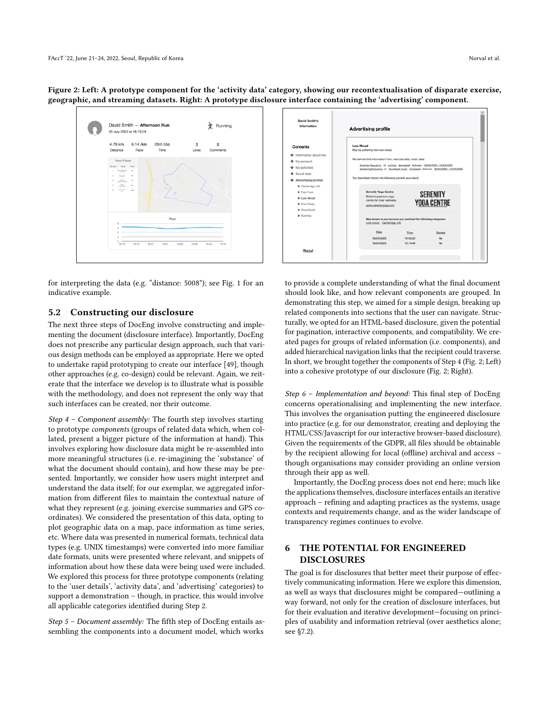<span id="page-5-1"></span>

for interpreting the data (e.g. "distance: 5008"); see Fig. [1](#page-2-1) for an indicative example.

#### 5.2 Constructing our disclosure

The next three steps of DocEng involve constructing and implementing the document (disclosure interface). Importantly, DocEng does not prescribe any particular design approach, such that various design methods can be employed as appropriate. Here we opted to undertake rapid prototyping to create our interface [\[49\]](#page-11-19), though other approaches (e.g. co-design) could be relevant. Again, we reiterate that the interface we develop is to illustrate what is possible with the methodology, and does not represent the only way that such interfaces can be created, nor their outcome.

Step 4 – Component assembly: The fourth step involves starting to prototype components (groups of related data which, when collated, present a bigger picture of the information at hand). This involves exploring how disclosure data might be re-assembled into more meaningful structures (i.e. re-imagining the 'substance' of what the document should contain), and how these may be presented. Importantly, we consider how users might interpret and understand the data itself; for our exemplar, we aggregated information from different files to maintain the contextual nature of what they represent (e.g. joining exercise summaries and GPS coordinates). We considered the presentation of this data, opting to plot geographic data on a map, pace information as time series, etc. Where data was presented in numerical formats, technical data types (e.g. UNIX timestamps) were converted into more familiar date formats, units were presented where relevant, and snippets of information about how these data were being used were included. We explored this process for three prototype components (relating to the 'user details', 'activity data', and 'advertising' categories) to support a demonstration – though, in practice, this would involve all applicable categories identified during Step 2.

Step 5 – Document assembly: The fifth step of DocEng entails assembling the components into a document model, which works



to provide a complete understanding of what the final document should look like, and how relevant components are grouped. In demonstrating this step, we aimed for a simple design, breaking up related components into sections that the user can navigate. Structurally, we opted for an HTML-based disclosure, given the potential for pagination, interactive components, and compatibility. We created pages for groups of related information (i.e. components), and added hierarchical navigation links that the recipient could traverse. In short, we brought together the components of Step 4 (Fig. [2;](#page-5-1) Left) into a cohesive prototype of our disclosure (Fig. [2;](#page-5-1) Right).

Step 6 – Implementation and beyond: This final step of DocEng concerns operationalising and implementing the new interface. This involves the organisation putting the engineered disclosure into practice (e.g. for our demonstrator, creating and deploying the HTML/CSS/Javascript for our interactive browser-based disclosure). Given the requirements of the GDPR, all files should be obtainable by the recipient allowing for local (offline) archival and access – though organisations may consider providing an online version through their app as well.

Importantly, the DocEng process does not end here; much like the applications themselves, disclosure interfaces entails an iterative approach – refining and adapting practices as the systems, usage contexts and requirements change, and as the wider landscape of transparency regimes continues to evolve.

# <span id="page-5-0"></span>6 THE POTENTIAL FOR ENGINEERED DISCLOSURES

The goal is for disclosures that better meet their purpose of effectively communicating information. Here we explore this dimension, as well as ways that disclosures might be compared—outlining a way forward, not only for the creation of disclosure interfaces, but for their evaluation and iterative development—focusing on principles of usability and information retrieval (over aesthetics alone; see [§7.2\)](#page-9-0).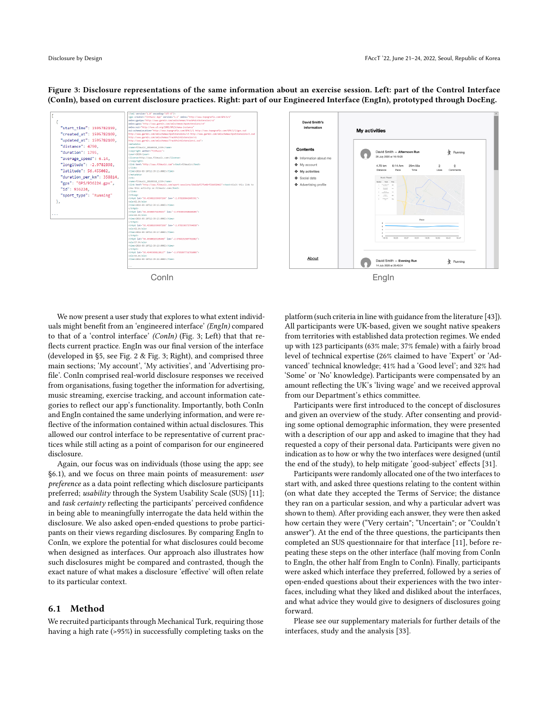<span id="page-6-0"></span>Figure 3: Disclosure representations of the same information about an exercise session. Left: part of the Control Interface (ConIn), based on current disclosure practices. Right: part of our Engineered Interface (EngIn), prototyped through DocEng.



We now present a user study that explores to what extent individuals might benefit from an 'engineered interface' (EngIn) compared to that of a 'control interface' (ConIn) (Fig. [3;](#page-6-0) Left) that that reflects current practice. EngIn was our final version of the interface (developed in [§5,](#page-4-0) see Fig. [2](#page-5-1) & Fig. [3;](#page-6-0) Right), and comprised three main sections; 'My account', 'My activities', and 'Advertising profile'. ConIn comprised real-world disclosure responses we received from organisations, fusing together the information for advertising, music streaming, exercise tracking, and account information categories to reflect our app's functionality. Importantly, both ConIn and EngIn contained the same underlying information, and were reflective of the information contained within actual disclosures. This allowed our control interface to be representative of current practices while still acting as a point of comparison for our engineered disclosure.

Again, our focus was on individuals (those using the app; see [§6.1\)](#page-6-1), and we focus on three main points of measurement: user preference as a data point reflecting which disclosure participants preferred; usability through the System Usability Scale (SUS) [\[11\]](#page-10-18); and task certainty reflecting the participants' perceived confidence in being able to meaningfully interrogate the data held within the disclosure. We also asked open-ended questions to probe participants on their views regarding disclosures. By comparing EngIn to ConIn, we explore the potential for what disclosures could become when designed as interfaces. Our approach also illustrates how such disclosures might be compared and contrasted, though the exact nature of what makes a disclosure 'effective' will often relate to its particular context.

#### <span id="page-6-1"></span>6.1 Method

We recruited participants through Mechanical Turk, requiring those having a high rate (>95%) in successfully completing tasks on the



platform (such criteria in line with guidance from the literature [\[43\]](#page-11-20)). All participants were UK-based, given we sought native speakers from territories with established data protection regimes. We ended up with 123 participants (63% male; 37% female) with a fairly broad level of technical expertise (26% claimed to have 'Expert' or 'Advanced' technical knowledge; 41% had a 'Good level'; and 32% had 'Some' or 'No' knowledge). Participants were compensated by an amount reflecting the UK's 'living wage' and we received approval from our Department's ethics committee.

Participants were first introduced to the concept of disclosures and given an overview of the study. After consenting and providing some optional demographic information, they were presented with a description of our app and asked to imagine that they had requested a copy of their personal data. Participants were given no indication as to how or why the two interfaces were designed (until the end of the study), to help mitigate 'good-subject' effects [\[31\]](#page-11-21).

Participants were randomly allocated one of the two interfaces to start with, and asked three questions relating to the content within (on what date they accepted the Terms of Service; the distance they ran on a particular session, and why a particular advert was shown to them). After providing each answer, they were then asked how certain they were ("Very certain"; "Uncertain"; or "Couldn't answer"). At the end of the three questions, the participants then completed an SUS questionnaire for that interface [\[11\]](#page-10-18), before repeating these steps on the other interface (half moving from ConIn to EngIn, the other half from EngIn to ConIn). Finally, participants were asked which interface they preferred, followed by a series of open-ended questions about their experiences with the two interfaces, including what they liked and disliked about the interfaces, and what advice they would give to designers of disclosures going forward.

Please see our supplementary materials for further details of the interfaces, study and the analysis [\[33\]](#page-11-18).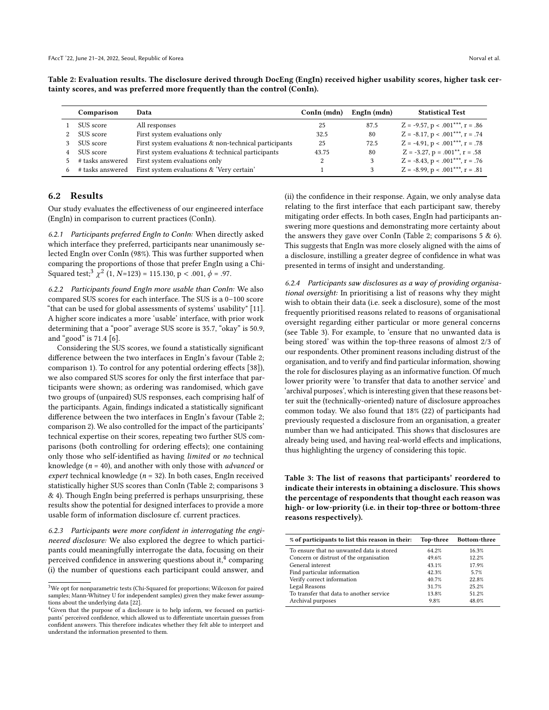<span id="page-7-1"></span>Table 2: Evaluation results. The disclosure derived through DocEng (EngIn) received higher usability scores, higher task certainty scores, and was preferred more frequently than the control (ConIn).

|   | Comparison       | Data                                                  | ConIn (mdn) | EngIn (mdn) | <b>Statistical Test</b>                 |
|---|------------------|-------------------------------------------------------|-------------|-------------|-----------------------------------------|
|   | SUS score        | All responses                                         | 25          | 87.5        | $Z = -9.57$ , $p < .001***$ , $r = .86$ |
| 2 | SUS score        | First system evaluations only                         | 32.5        | 80          | $Z = -8.17$ , $p < .001***$ , $r = .74$ |
| 3 | SUS score        | First system evaluations & non-technical participants | 25          | 72.5        | $Z = -4.91$ , $p < .001***$ , $r = .78$ |
| 4 | SUS score        | First system evaluations & technical participants     | 43.75       | 80          | $Z = -3.27$ , $p = .001**$ , $r = .58$  |
| 5 | # tasks answered | First system evaluations only                         |             | 3           | $Z = -8.43$ , $p < .001***$ , $r = .76$ |
| 6 | # tasks answered | First system evaluations & 'Very certain'             |             |             | $Z = -8.99$ , $p < .001***$ , $r = .81$ |

#### 6.2 Results

Our study evaluates the effectiveness of our engineered interface (EngIn) in comparison to current practices (ConIn).

6.2.1 Participants preferred EngIn to ConIn: When directly asked which interface they preferred, participants near unanimously selected EngIn over ConIn (98%). This was further supported when comparing the proportions of those that prefer EngIn using a Chi-Squared test;<sup>[3](#page-7-0)</sup>  $\chi$  $2(1, N=123) = 115.130, p < .001, \phi = .97.$ 

6.2.2 Participants found EngIn more usable than ConIn: We also compared SUS scores for each interface. The SUS is a 0–100 score "that can be used for global assessments of systems' usability" [\[11\]](#page-10-18). A higher score indicates a more 'usable' interface, with prior work determining that a "poor" average SUS score is 35.7, "okay" is 50.9, and "good" is 71.4 [\[6\]](#page-10-19).

Considering the SUS scores, we found a statistically significant difference between the two interfaces in EngIn's favour (Table [2;](#page-7-1) comparison 1). To control for any potential ordering effects [\[38\]](#page-11-22)), we also compared SUS scores for only the first interface that participants were shown; as ordering was randomised, which gave two groups of (unpaired) SUS responses, each comprising half of the participants. Again, findings indicated a statistically significant difference between the two interfaces in EngIn's favour (Table [2;](#page-7-1) comparison 2). We also controlled for the impact of the participants' technical expertise on their scores, repeating two further SUS comparisons (both controlling for ordering effects); one containing only those who self-identified as having limited or no technical knowledge ( $n = 40$ ), and another with only those with *advanced* or expert technical knowledge ( $n = 32$ ). In both cases, EngIn received statistically higher SUS scores than ConIn (Table [2;](#page-7-1) comparisons 3 & 4). Though EngIn being preferred is perhaps unsurprising, these results show the potential for designed interfaces to provide a more usable form of information disclosure cf. current practices.

6.2.3 Participants were more confident in interrogating the engineered disclosure: We also explored the degree to which participants could meaningfully interrogate the data, focusing on their perceived confidence in answering questions about it, $\rm ^4$  $\rm ^4$  comparing (i) the number of questions each participant could answer, and

(ii) the confidence in their response. Again, we only analyse data relating to the first interface that each participant saw, thereby mitigating order effects. In both cases, EngIn had participants answering more questions and demonstrating more certainty about the answers they gave over ConIn (Table [2;](#page-7-1) comparisons  $5 & 6$ ). This suggests that EngIn was more closely aligned with the aims of a disclosure, instilling a greater degree of confidence in what was presented in terms of insight and understanding.

6.2.4 Participants saw disclosures as a way of providing organisational oversight: In prioritising a list of reasons why they might wish to obtain their data (i.e. seek a disclosure), some of the most frequently prioritised reasons related to reasons of organisational oversight regarding either particular or more general concerns (see Table [3\)](#page-7-3). For example, to 'ensure that no unwanted data is being stored' was within the top-three reasons of almost 2/3 of our respondents. Other prominent reasons including distrust of the organisation, and to verify and find particular information, showing the role for disclosures playing as an informative function. Of much lower priority were 'to transfer that data to another service' and 'archival purposes', which is interesting given that these reasons better suit the (technically-oriented) nature of disclosure approaches common today. We also found that 18% (22) of participants had previously requested a disclosure from an organisation, a greater number than we had anticipated. This shows that disclosures are already being used, and having real-world effects and implications, thus highlighting the urgency of considering this topic.

<span id="page-7-3"></span>Table 3: The list of reasons that participants' reordered to indicate their interests in obtaining a disclosure. This shows the percentage of respondents that thought each reason was high- or low-priority (i.e. in their top-three or bottom-three reasons respectively).

| % of participants to list this reason in their: | Top-three | Bottom-three |
|-------------------------------------------------|-----------|--------------|
| To ensure that no unwanted data is stored       | 64.2%     | 16.3%        |
| Concern or distrust of the organisation         | 49.6%     | 12.2%        |
| General interest                                | 43.1%     | 17.9%        |
| Find particular information                     | 42.3%     | 5.7%         |
| Verify correct information                      | 40.7%     | 22.8%        |
| Legal Reasons                                   | 31.7%     | 25.2%        |
| To transfer that data to another service        | 13.8%     | 51.2%        |
| Archival purposes                               | 9.8%      | 48.0%        |

<span id="page-7-0"></span> $^3\rm{We}$  opt for nonparametric tests (Chi-Squared for proportions; Wilcoxon for paired samples; Mann-Whitney U for independent samples) given they make fewer assumptions about the underlying data [\[22\]](#page-10-20).

<span id="page-7-2"></span><sup>4</sup>Given that the purpose of a disclosure is to help inform, we focused on participants' perceived confidence, which allowed us to differentiate uncertain guesses from confident answers. This therefore indicates whether they felt able to interpret and understand the information presented to them.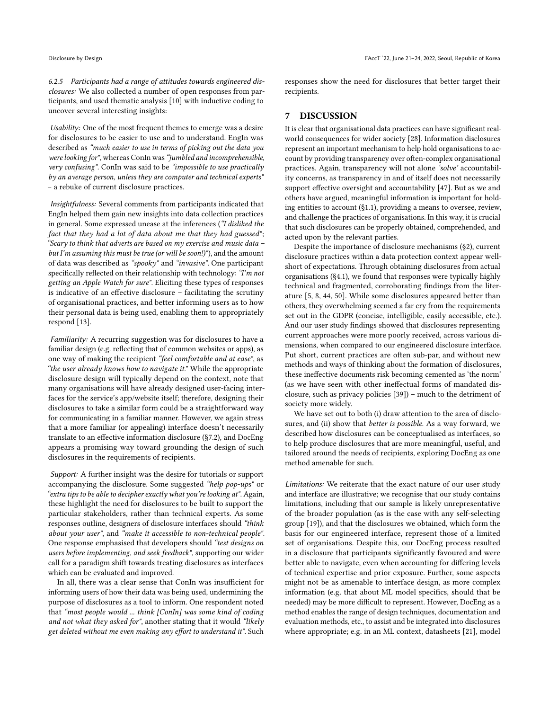6.2.5 Participants had a range of attitudes towards engineered disclosures: We also collected a number of open responses from participants, and used thematic analysis [\[10\]](#page-10-21) with inductive coding to uncover several interesting insights:

Usability: One of the most frequent themes to emerge was a desire for disclosures to be easier to use and to understand. EngIn was described as "much easier to use in terms of picking out the data you were looking for", whereas ConIn was "jumbled and incomprehensible, very confusing". ConIn was said to be "impossible to use practically by an average person, unless they are computer and technical experts" – a rebuke of current disclosure practices.

Insightfulness: Several comments from participants indicated that EngIn helped them gain new insights into data collection practices in general. Some expressed unease at the inferences ("I disliked the fact that they had a lot of data about me that they had guessed"; "Scary to think that adverts are based on my exercise and music data  $$ but I'm assuming this must be true (or will be soon!)"), and the amount of data was described as " $spooky$ " and "invasive". One participant specifically reflected on their relationship with technology: "I'm not getting an Apple Watch for sure". Eliciting these types of responses is indicative of an effective disclosure – facilitating the scrutiny of organisational practices, and better informing users as to how their personal data is being used, enabling them to appropriately respond [\[13\]](#page-10-0).

Familiarity: A recurring suggestion was for disclosures to have a familiar design (e.g. reflecting that of common websites or apps), as one way of making the recipient "feel comfortable and at ease", as "the user already knows how to navigate it." While the appropriate disclosure design will typically depend on the context, note that many organisations will have already designed user-facing interfaces for the service's app/website itself; therefore, designing their disclosures to take a similar form could be a straightforward way for communicating in a familiar manner. However, we again stress that a more familiar (or appealing) interface doesn't necessarily translate to an effective information disclosure ([§7.2\)](#page-9-0), and DocEng appears a promising way toward grounding the design of such disclosures in the requirements of recipients.

Support: A further insight was the desire for tutorials or support accompanying the disclosure. Some suggested "help pop-ups" or "extra tips to be able to decipher exactly what you're looking at". Again, these highlight the need for disclosures to be built to support the particular stakeholders, rather than technical experts. As some responses outline, designers of disclosure interfaces should "think about your user", and "make it accessible to non-technical people". One response emphasised that developers should "test designs on users before implementing, and seek feedback", supporting our wider call for a paradigm shift towards treating disclosures as interfaces which can be evaluated and improved.

In all, there was a clear sense that ConIn was insufficient for informing users of how their data was being used, undermining the purpose of disclosures as a tool to inform. One respondent noted that "most people would ... think [ConIn] was some kind of coding and not what they asked for", another stating that it would "likely get deleted without me even making any effort to understand it". Such

responses show the need for disclosures that better target their recipients.

## 7 DISCUSSION

It is clear that organisational data practices can have significant realworld consequences for wider society [\[28\]](#page-11-23). Information disclosures represent an important mechanism to help hold organisations to account by providing transparency over often-complex organisational practices. Again, transparency will not alone 'solve' accountability concerns, as transparency in and of itself does not necessarily support effective oversight and accountability [\[47\]](#page-11-9). But as we and others have argued, meaningful information is important for holding entities to account ([§1.1\)](#page-0-0), providing a means to oversee, review, and challenge the practices of organisations. In this way, it is crucial that such disclosures can be properly obtained, comprehended, and acted upon by the relevant parties.

Despite the importance of disclosure mechanisms ([§2\)](#page-1-1), current disclosure practices within a data protection context appear wellshort of expectations. Through obtaining disclosures from actual organisations ([§4.1\)](#page-3-0), we found that responses were typically highly technical and fragmented, corroborating findings from the literature [\[5,](#page-10-1) [8,](#page-10-2) [44,](#page-11-3) [50\]](#page-11-4). While some disclosures appeared better than others, they overwhelming seemed a far cry from the requirements set out in the GDPR (concise, intelligible, easily accessible, etc.). And our user study findings showed that disclosures representing current approaches were more poorly received, across various dimensions, when compared to our engineered disclosure interface. Put short, current practices are often sub-par, and without new methods and ways of thinking about the formation of disclosures, these ineffective documents risk becoming cemented as 'the norm' (as we have seen with other ineffectual forms of mandated disclosure, such as privacy policies [\[39\]](#page-11-11)) – much to the detriment of society more widely.

We have set out to both (i) draw attention to the area of disclosures, and (ii) show that better is possible. As a way forward, we described how disclosures can be conceptualised as interfaces, so to help produce disclosures that are more meaningful, useful, and tailored around the needs of recipients, exploring DocEng as one method amenable for such.

Limitations: We reiterate that the exact nature of our user study and interface are illustrative; we recognise that our study contains limitations, including that our sample is likely unrepresentative of the broader population (as is the case with any self-selecting group [\[19\]](#page-10-22)), and that the disclosures we obtained, which form the basis for our engineered interface, represent those of a limited set of organisations. Despite this, our DocEng process resulted in a disclosure that participants significantly favoured and were better able to navigate, even when accounting for differing levels of technical expertise and prior exposure. Further, some aspects might not be as amenable to interface design, as more complex information (e.g. that about ML model specifics, should that be needed) may be more difficult to represent. However, DocEng as a method enables the range of design techniques, documentation and evaluation methods, etc., to assist and be integrated into disclosures where appropriate; e.g. in an ML context, datasheets [\[21\]](#page-10-16), model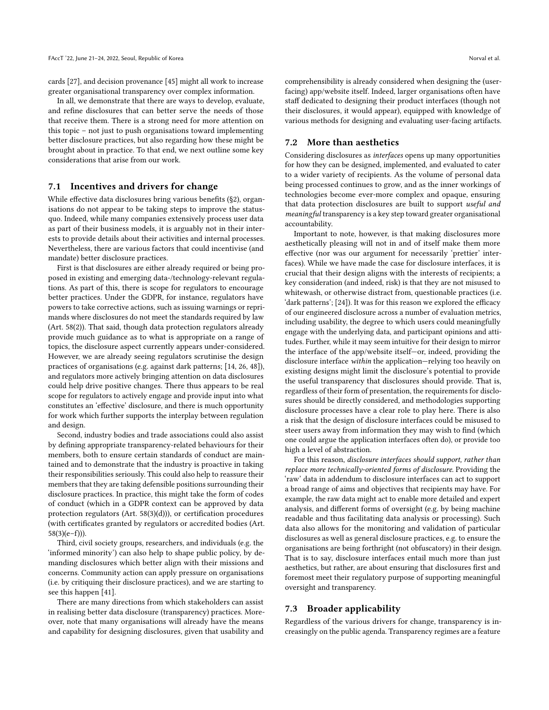cards [\[27\]](#page-10-17), and decision provenance [\[45\]](#page-11-12) might all work to increase greater organisational transparency over complex information.

In all, we demonstrate that there are ways to develop, evaluate, and refine disclosures that can better serve the needs of those that receive them. There is a strong need for more attention on this topic – not just to push organisations toward implementing better disclosure practices, but also regarding how these might be brought about in practice. To that end, we next outline some key considerations that arise from our work.

## 7.1 Incentives and drivers for change

While effective data disclosures bring various benefits ([§2\)](#page-1-1), organisations do not appear to be taking steps to improve the statusquo. Indeed, while many companies extensively process user data as part of their business models, it is arguably not in their interests to provide details about their activities and internal processes. Nevertheless, there are various factors that could incentivise (and mandate) better disclosure practices.

First is that disclosures are either already required or being proposed in existing and emerging data-/technology-relevant regulations. As part of this, there is scope for regulators to encourage better practices. Under the GDPR, for instance, regulators have powers to take corrective actions, such as issuing warnings or reprimands where disclosures do not meet the standards required by law (Art. 58(2)). That said, though data protection regulators already provide much guidance as to what is appropriate on a range of topics, the disclosure aspect currently appears under-considered. However, we are already seeing regulators scrutinise the design practices of organisations (e.g. against dark patterns; [\[14,](#page-10-23) [26,](#page-10-24) [48\]](#page-11-24)), and regulators more actively bringing attention on data disclosures could help drive positive changes. There thus appears to be real scope for regulators to actively engage and provide input into what constitutes an 'effective' disclosure, and there is much opportunity for work which further supports the interplay between regulation and design.

Second, industry bodies and trade associations could also assist by defining appropriate transparency-related behaviours for their members, both to ensure certain standards of conduct are maintained and to demonstrate that the industry is proactive in taking their responsibilities seriously. This could also help to reassure their members that they are taking defensible positions surrounding their disclosure practices. In practice, this might take the form of codes of conduct (which in a GDPR context can be approved by data protection regulators (Art. 58(3)(d))), or certification procedures (with certificates granted by regulators or accredited bodies (Art.  $58(3)(e-f))$ ).

Third, civil society groups, researchers, and individuals (e.g. the 'informed minority') can also help to shape public policy, by demanding disclosures which better align with their missions and concerns. Community action can apply pressure on organisations (i.e. by critiquing their disclosure practices), and we are starting to see this happen [\[41\]](#page-11-6).

There are many directions from which stakeholders can assist in realising better data disclosure (transparency) practices. Moreover, note that many organisations will already have the means and capability for designing disclosures, given that usability and comprehensibility is already considered when designing the (userfacing) app/website itself. Indeed, larger organisations often have staff dedicated to designing their product interfaces (though not their disclosures, it would appear), equipped with knowledge of various methods for designing and evaluating user-facing artifacts.

## <span id="page-9-0"></span>7.2 More than aesthetics

Considering disclosures as interfaces opens up many opportunities for how they can be designed, implemented, and evaluated to cater to a wider variety of recipients. As the volume of personal data being processed continues to grow, and as the inner workings of technologies become ever-more complex and opaque, ensuring that data protection disclosures are built to support useful and meaningful transparency is a key step toward greater organisational accountability.

Important to note, however, is that making disclosures more aesthetically pleasing will not in and of itself make them more effective (nor was our argument for necessarily 'prettier' interfaces). While we have made the case for disclosure interfaces, it is crucial that their design aligns with the interests of recipients; a key consideration (and indeed, risk) is that they are not misused to whitewash, or otherwise distract from, questionable practices (i.e. 'dark patterns'; [\[24\]](#page-10-25)). It was for this reason we explored the efficacy of our engineered disclosure across a number of evaluation metrics, including usability, the degree to which users could meaningfully engage with the underlying data, and participant opinions and attitudes. Further, while it may seem intuitive for their design to mirror the interface of the app/website itself—or, indeed, providing the disclosure interface within the application—relying too heavily on existing designs might limit the disclosure's potential to provide the useful transparency that disclosures should provide. That is, regardless of their form of presentation, the requirements for disclosures should be directly considered, and methodologies supporting disclosure processes have a clear role to play here. There is also a risk that the design of disclosure interfaces could be misused to steer users away from information they may wish to find (which one could argue the application interfaces often do), or provide too high a level of abstraction.

For this reason, disclosure interfaces should support, rather than replace more technically-oriented forms of disclosure. Providing the 'raw' data in addendum to disclosure interfaces can act to support a broad range of aims and objectives that recipients may have. For example, the raw data might act to enable more detailed and expert analysis, and different forms of oversight (e.g. by being machine readable and thus facilitating data analysis or processing). Such data also allows for the monitoring and validation of particular disclosures as well as general disclosure practices, e.g. to ensure the organisations are being forthright (not obfuscatory) in their design. That is to say, disclosure interfaces entail much more than just aesthetics, but rather, are about ensuring that disclosures first and foremost meet their regulatory purpose of supporting meaningful oversight and transparency.

#### 7.3 Broader applicability

Regardless of the various drivers for change, transparency is increasingly on the public agenda. Transparency regimes are a feature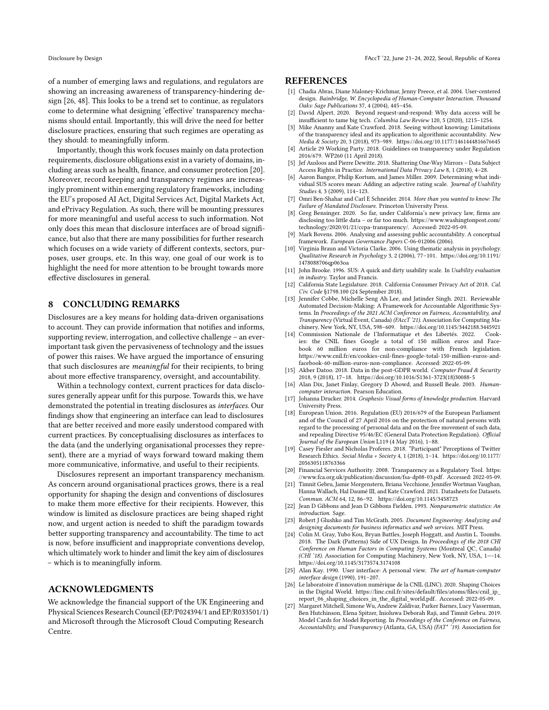Disclosure by Design FAccT '22, June 21–24, 2022, Seoul, Republic of Korea

of a number of emerging laws and regulations, and regulators are showing an increasing awareness of transparency-hindering design [\[26,](#page-10-24) [48\]](#page-11-24). This looks to be a trend set to continue, as regulators come to determine what designing 'effective' transparency mechanisms should entail. Importantly, this will drive the need for better disclosure practices, ensuring that such regimes are operating as they should: to meaningfully inform.

Importantly, though this work focuses mainly on data protection requirements, disclosure obligations exist in a variety of domains, including areas such as health, finance, and consumer protection [\[20\]](#page-10-26). Moreover, record keeping and transparency regimes are increasingly prominent within emerging regulatory frameworks, including the EU's proposed AI Act, Digital Services Act, Digital Markets Act, and ePrivacy Regulation. As such, there will be mounting pressures for more meaningful and useful access to such information. Not only does this mean that disclosure interfaces are of broad significance, but also that there are many possibilities for further research which focuses on a wide variety of different contexts, sectors, purposes, user groups, etc. In this way, one goal of our work is to highlight the need for more attention to be brought towards more effective disclosures in general.

# 8 CONCLUDING REMARKS

Disclosures are a key means for holding data-driven organisations to account. They can provide information that notifies and informs, supporting review, interrogation, and collective challenge – an everimportant task given the pervasiveness of technology and the issues of power this raises. We have argued the importance of ensuring that such disclosures are meaningful for their recipients, to bring about more effective transparency, oversight, and accountability.

Within a technology context, current practices for data disclosures generally appear unfit for this purpose. Towards this, we have demonstrated the potential in treating disclosures as interfaces. Our findings show that engineering an interface can lead to disclosures that are better received and more easily understood compared with current practices. By conceptualising disclosures as interfaces to the data (and the underlying organisational processes they represent), there are a myriad of ways forward toward making them more communicative, informative, and useful to their recipients.

Disclosures represent an important transparency mechanism. As concern around organisational practices grows, there is a real opportunity for shaping the design and conventions of disclosures to make them more effective for their recipients. However, this window is limited as disclosure practices are being shaped right now, and urgent action is needed to shift the paradigm towards better supporting transparency and accountability. The time to act is now, before insufficient and inappropriate conventions develop, which ultimately work to hinder and limit the key aim of disclosures – which is to meaningfully inform.

#### ACKNOWLEDGMENTS

We acknowledge the financial support of the UK Engineering and Physical Sciences Research Council (EP/P024394/1 and EP/R033501/1) and Microsoft through the Microsoft Cloud Computing Research Centre.

#### **REFERENCES**

- <span id="page-10-6"></span>[1] Chadia Abras, Diane Maloney-Krichmar, Jenny Preece, et al. 2004. User-centered design. Bainbridge, W. Encyclopedia of Human-Computer Interaction. Thousand Oaks: Sage Publications 37, 4 (2004), 445–456.
- <span id="page-10-3"></span>David Alpert. 2020. Beyond request-and-respond: Why data access will be insufficient to tame big tech. Columbia Law Review 120, 5 (2020), 1215–1254.
- <span id="page-10-9"></span>[3] Mike Ananny and Kate Crawford. 2018. Seeing without knowing: Limitations of the transparency ideal and its application to algorithmic accountability. New Media & Society 20, 3 (2018), 973–989.<https://doi.org/10.1177/1461444816676645>
- <span id="page-10-11"></span>Article 29 Working Party. 2018. Guidelines on transparency under Regulation 2016/679. WP260 (11 April 2018).
- <span id="page-10-1"></span>[5] Jef Ausloos and Pierre Dewitte. 2018. Shattering One-Way Mirrors – Data Subject Access Rights in Practice. International Data Privacy Law 8, 1 (2018), 4–28.
- <span id="page-10-19"></span>[6] Aaron Bangor, Philip Kortum, and James Miller. 2009. Determining what individual SUS scores mean: Adding an adjective rating scale. Journal of Usability Studies 4, 3 (2009), 114–123.
- <span id="page-10-4"></span>[7] Omri Ben-Shahar and Carl E Schneider. 2014. More than you wanted to know: The Failure of Mandated Disclosure. Princeton University Press.
- <span id="page-10-2"></span>[8] Greg Bensinger. 2020. So far, under California's new privacy law, firms are disclosing too little data – or far too much. [https://www.washingtonpost.com/](https://www.washingtonpost.com/technology/2020/01/21/ccpa-transparency/) [technology/2020/01/21/ccpa-transparency/.](https://www.washingtonpost.com/technology/2020/01/21/ccpa-transparency/) Accessed: 2022-05-09.
- <span id="page-10-8"></span>Mark Bovens. 2006. Analysing and assessing public accountability. A conceptual framework. European Governance Papers C-06-012006 (2006).
- <span id="page-10-21"></span>[10] Virginia Braun and Victoria Clarke. 2006. Using thematic analysis in psychology. Qualitative Research in Psychology 3, 2 (2006), 77–101. [https://doi.org/10.1191/](https://doi.org/10.1191/1478088706qp063oa) [1478088706qp063oa](https://doi.org/10.1191/1478088706qp063oa)
- <span id="page-10-18"></span>[11] John Brooke. 1996. SUS: A quick and dirty usability scale. In Usability evaluation in industry. Taylor and Francis.
- <span id="page-10-14"></span>[12] California State Legislature. 2018. California Consumer Privacy Act of 2018. Cal. Civ. Code §1798.100 (24 September 2018).
- <span id="page-10-0"></span>[13] Jennifer Cobbe, Michelle Seng Ah Lee, and Jatinder Singh. 2021. Reviewable Automated Decision-Making: A Framework for Accountable Algorithmic Systems. In Proceedings of the 2021 ACM Conference on Fairness, Accountability, and Transparency (Virtual Event, Canada) (FAccT '21). Association for Computing Machinery, New York, NY, USA, 598–609.<https://doi.org/10.1145/3442188.3445921>
- <span id="page-10-23"></span>[14] Commission Nationale de l'Informatique et des Libertés. 2022. ies: the CNIL fines Google a total of 150 million euros and Facebook 60 million euros for non-compliance with French legislation. [https://www.cnil.fr/en/cookies-cnil-fines-google-total-150-million-euros-and](https://www.cnil.fr/en/cookies-cnil-fines-google-total-150-million-euros-and-facebook-60-million-euros-non-compliance)[facebook-60-million-euros-non-compliance.](https://www.cnil.fr/en/cookies-cnil-fines-google-total-150-million-euros-and-facebook-60-million-euros-non-compliance) Accessed: 2022-05-09.
- <span id="page-10-12"></span>[15] Akber Datoo. 2018. Data in the post-GDPR world. Computer Fraud & Security 2018, 9 (2018), 17–18. [https://doi.org/10.1016/S1361-3723\(18\)30088-5](https://doi.org/10.1016/S1361-3723(18)30088-5)
- <span id="page-10-7"></span>[16] Alan Dix, Janet Finlay, Gregory D Abowd, and Russell Beale. 2003. Humancomputer interaction. Pearson Education.
- <span id="page-10-15"></span>[17] Johanna Drucker. 2014. Graphesis: Visual forms of knowledge production. Harvard University Press.
- <span id="page-10-13"></span>[18] European Union. 2016. Regulation (EU) 2016/679 of the European Parliament and of the Council of 27 April 2016 on the protection of natural persons with regard to the processing of personal data and on the free movement of such data, and repealing Directive 95/46/EC (General Data Protection Regulation). Official
- <span id="page-10-22"></span>Journal of the European Union L119 (4 May 2016), 1–88. [19] Casey Fiesler and Nicholas Proferes. 2018. "Participant" Perceptions of Twitter Research Ethics. Social Media + Society 4, 1 (2018), 1–14. [https://doi.org/10.1177/](https://doi.org/10.1177/2056305118763366) [2056305118763366](https://doi.org/10.1177/2056305118763366)
- <span id="page-10-26"></span>[20] Financial Services Authority. 2008. Transparency as a Regulatory Tool. [https:](https://www.fca.org.uk/publication/discussion/fsa-dp08-03.pdf) [//www.fca.org.uk/publication/discussion/fsa-dp08-03.pdf.](https://www.fca.org.uk/publication/discussion/fsa-dp08-03.pdf) Accessed: 2022-05-09.
- <span id="page-10-16"></span>[21] Timnit Gebru, Jamie Morgenstern, Briana Vecchione, Jennifer Wortman Vaughan, Hanna Wallach, Hal Daumé III, and Kate Crawford. 2021. Datasheets for Datasets. Commun. ACM 64, 12, 86–92.<https://doi.org/10.1145/3458723>
- <span id="page-10-20"></span>[22] Jean D Gibbons and Jean D Gibbons Fielden. 1993. Nonparametric statistics: An introduction. Sage.
- <span id="page-10-10"></span>[23] Robert J Glushko and Tim McGrath. 2005. Document Engineering: Analyzing and designing documents for business informatics and web services. MIT Press.
- <span id="page-10-25"></span>[24] Colin M. Gray, Yubo Kou, Bryan Battles, Joseph Hoggatt, and Austin L. Toombs. 2018. The Dark (Patterns) Side of UX Design. In Proceedings of the 2018 CHI Conference on Human Factors in Computing Systems (Montreal QC, Canada) (CHI '18). Association for Computing Machinery, New York, NY, USA, 1—-14. <https://doi.org/10.1145/3173574.3174108>
- <span id="page-10-5"></span>[25] Alan Kay. 1990. User interface: A personal view. The art of human-computer interface design (1990), 191–207.
- <span id="page-10-24"></span>[26] Le laboratoire d'innovation numérique de la CNIL (LINC). 2020. Shaping Choices in the Digital World. [https://linc.cnil.fr/sites/default/files/atoms/files/cnil\\_ip\\_](https://linc.cnil.fr/sites/default/files/atoms/files/cnil_ip_report_06_shaping_choices_in_the_digital_world.pdf) [report\\_06\\_shaping\\_choices\\_in\\_the\\_digital\\_world.pdf.](https://linc.cnil.fr/sites/default/files/atoms/files/cnil_ip_report_06_shaping_choices_in_the_digital_world.pdf) Accessed: 2022-05-09.
- <span id="page-10-17"></span>[27] Margaret Mitchell, Simone Wu, Andrew Zaldivar, Parker Barnes, Lucy Vasserman, Ben Hutchinson, Elena Spitzer, Inioluwa Deborah Raji, and Timnit Gebru. 2019. Model Cards for Model Reporting. In Proceedings of the Conference on Fairness, Accountability, and Transparency (Atlanta, GA, USA) (FAT\* '19). Association for